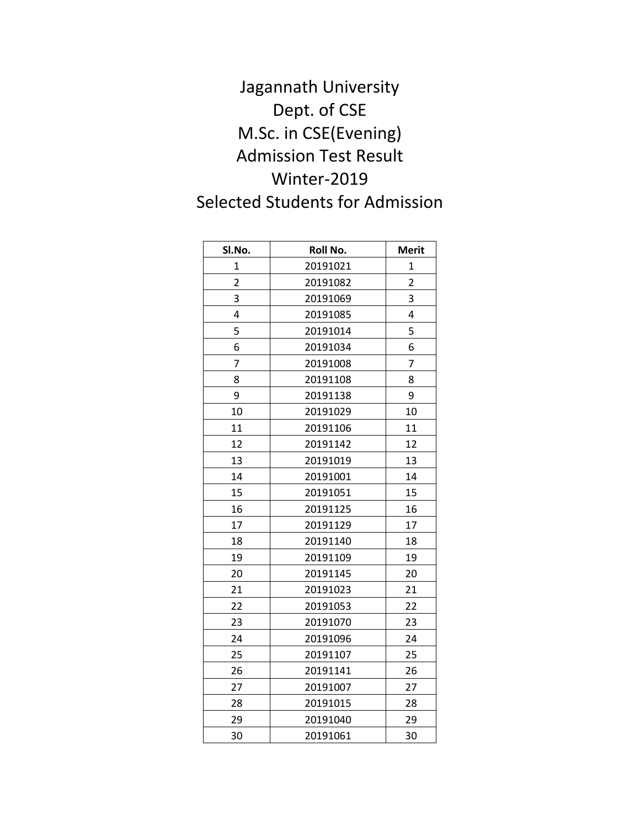Jagannath University Dept. of CSE M.Sc. in CSE(Evening) Admission Test Result Winter-2019 Selected Students for Admission

| Sl.No.         | Roll No. | <b>Merit</b>   |
|----------------|----------|----------------|
| 1              | 20191021 | 1              |
| $\overline{2}$ | 20191082 | $\overline{2}$ |
| 3              | 20191069 | 3              |
| 4              | 20191085 | 4              |
| 5              | 20191014 | 5              |
| 6              | 20191034 | 6              |
| 7              | 20191008 | 7              |
| 8              | 20191108 | 8              |
| 9              | 20191138 | 9              |
| 10             | 20191029 | 10             |
| 11             | 20191106 | 11             |
| 12             | 20191142 | 12             |
| 13             | 20191019 | 13             |
| 14             | 20191001 | 14             |
| 15             | 20191051 | 15             |
| 16             | 20191125 | 16             |
| 17             | 20191129 | 17             |
| 18             | 20191140 | 18             |
| 19             | 20191109 | 19             |
| 20             | 20191145 | 20             |
| 21             | 20191023 | 21             |
| 22             | 20191053 | 22             |
| 23             | 20191070 | 23             |
| 24             | 20191096 | 24             |
| 25             | 20191107 | 25             |
| 26             | 20191141 | 26             |
| 27             | 20191007 | 27             |
| 28             | 20191015 | 28             |
| 29             | 20191040 | 29             |
| 30             | 20191061 | 30             |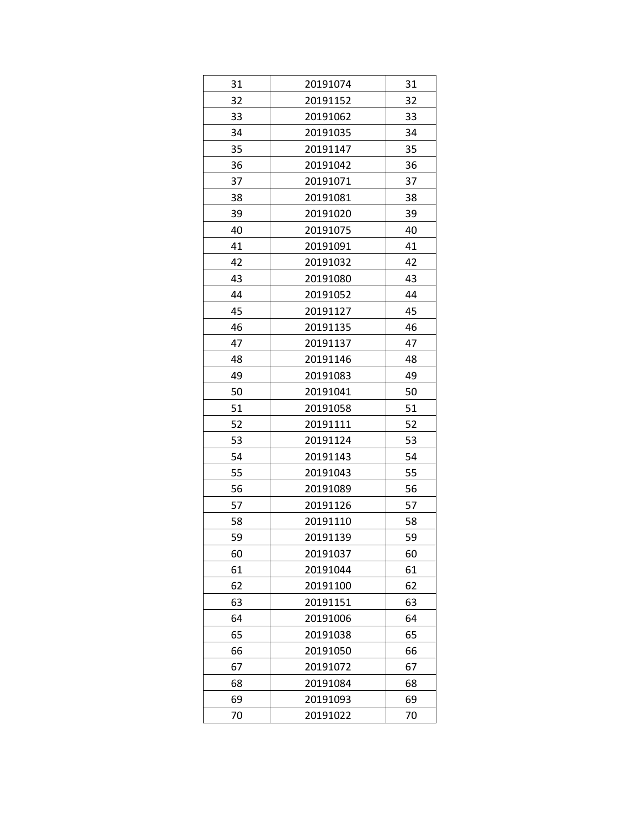| 31 | 20191074 | 31 |
|----|----------|----|
| 32 | 20191152 | 32 |
| 33 | 20191062 | 33 |
| 34 | 20191035 | 34 |
| 35 | 20191147 | 35 |
| 36 | 20191042 | 36 |
| 37 | 20191071 | 37 |
| 38 | 20191081 | 38 |
| 39 | 20191020 | 39 |
| 40 | 20191075 | 40 |
| 41 | 20191091 | 41 |
| 42 | 20191032 | 42 |
| 43 | 20191080 | 43 |
| 44 | 20191052 | 44 |
| 45 | 20191127 | 45 |
| 46 | 20191135 | 46 |
| 47 | 20191137 | 47 |
| 48 | 20191146 | 48 |
| 49 | 20191083 | 49 |
| 50 | 20191041 | 50 |
| 51 | 20191058 | 51 |
| 52 | 20191111 | 52 |
| 53 | 20191124 | 53 |
| 54 | 20191143 | 54 |
| 55 | 20191043 | 55 |
| 56 | 20191089 | 56 |
| 57 | 20191126 | 57 |
| 58 | 20191110 | 58 |
| 59 | 20191139 | 59 |
| 60 | 20191037 | 60 |
| 61 | 20191044 | 61 |
| 62 | 20191100 | 62 |
| 63 | 20191151 | 63 |
| 64 | 20191006 | 64 |
| 65 | 20191038 | 65 |
| 66 | 20191050 | 66 |
| 67 | 20191072 | 67 |
| 68 | 20191084 | 68 |
| 69 | 20191093 | 69 |
| 70 | 20191022 | 70 |